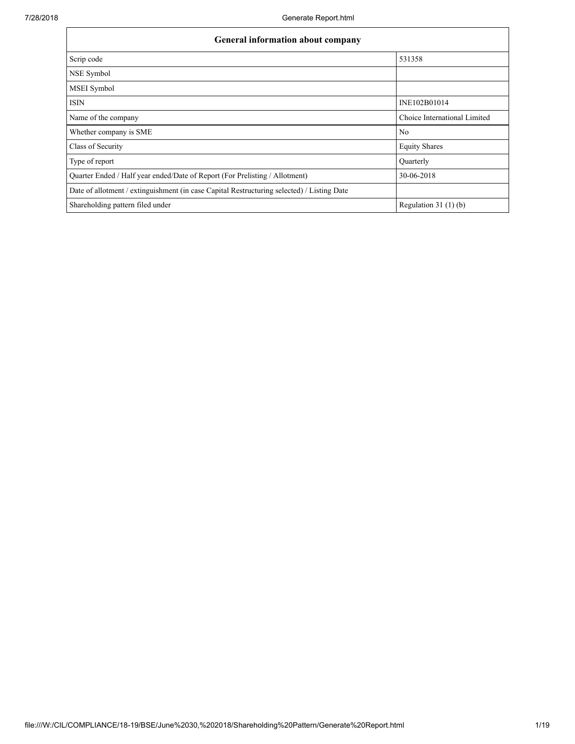| <b>General information about company</b>                                                   |                              |  |  |  |  |  |  |  |
|--------------------------------------------------------------------------------------------|------------------------------|--|--|--|--|--|--|--|
| Scrip code                                                                                 | 531358                       |  |  |  |  |  |  |  |
| NSE Symbol                                                                                 |                              |  |  |  |  |  |  |  |
| <b>MSEI</b> Symbol                                                                         |                              |  |  |  |  |  |  |  |
| <b>ISIN</b>                                                                                | INE102B01014                 |  |  |  |  |  |  |  |
| Name of the company                                                                        | Choice International Limited |  |  |  |  |  |  |  |
| Whether company is SME                                                                     | N <sub>0</sub>               |  |  |  |  |  |  |  |
| Class of Security                                                                          | <b>Equity Shares</b>         |  |  |  |  |  |  |  |
| Type of report                                                                             | <b>Ouarterly</b>             |  |  |  |  |  |  |  |
| Quarter Ended / Half year ended/Date of Report (For Prelisting / Allotment)                | 30-06-2018                   |  |  |  |  |  |  |  |
| Date of allotment / extinguishment (in case Capital Restructuring selected) / Listing Date |                              |  |  |  |  |  |  |  |
| Shareholding pattern filed under                                                           | Regulation $31(1)(b)$        |  |  |  |  |  |  |  |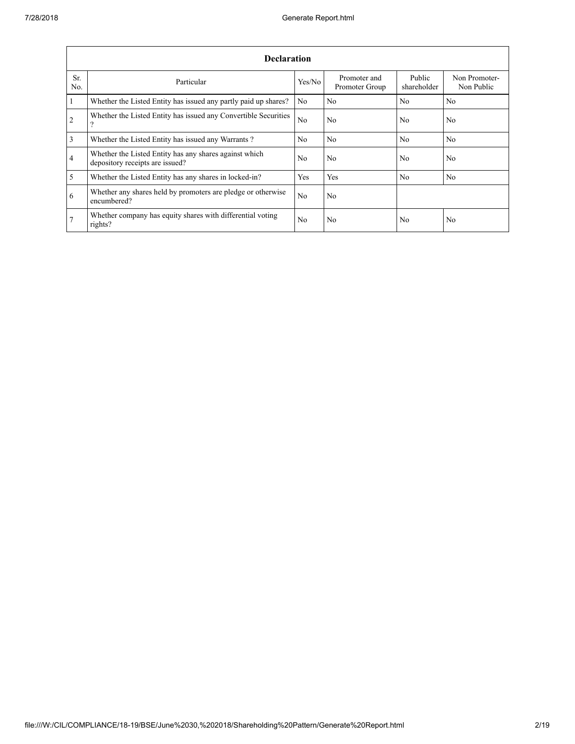|                       | <b>Declaration</b>                                                                        |                |                                |                       |                             |  |  |  |  |  |  |  |
|-----------------------|-------------------------------------------------------------------------------------------|----------------|--------------------------------|-----------------------|-----------------------------|--|--|--|--|--|--|--|
| Sr.<br>N <sub>0</sub> | Particular                                                                                | Yes/No         | Promoter and<br>Promoter Group | Public<br>shareholder | Non Promoter-<br>Non Public |  |  |  |  |  |  |  |
| $\mathbf{1}$          | Whether the Listed Entity has issued any partly paid up shares?                           | N <sub>0</sub> | N <sub>0</sub>                 | N <sub>0</sub>        | N <sub>0</sub>              |  |  |  |  |  |  |  |
| 2                     | Whether the Listed Entity has issued any Convertible Securities<br>?                      | N <sub>0</sub> | No.                            | N <sub>0</sub>        | N <sub>0</sub>              |  |  |  |  |  |  |  |
| 3                     | Whether the Listed Entity has issued any Warrants?                                        | N <sub>0</sub> | No.                            | N <sub>0</sub>        | N <sub>0</sub>              |  |  |  |  |  |  |  |
| $\overline{4}$        | Whether the Listed Entity has any shares against which<br>depository receipts are issued? | N <sub>0</sub> | No.                            | N <sub>0</sub>        | N <sub>0</sub>              |  |  |  |  |  |  |  |
| 5                     | Whether the Listed Entity has any shares in locked-in?                                    | Yes            | Yes                            | N <sub>0</sub>        | N <sub>0</sub>              |  |  |  |  |  |  |  |
| 6                     | Whether any shares held by promoters are pledge or otherwise<br>encumbered?               | N <sub>0</sub> | No.                            |                       |                             |  |  |  |  |  |  |  |
| 7                     | Whether company has equity shares with differential voting<br>rights?                     | N <sub>0</sub> | No                             | N <sub>0</sub>        | N <sub>0</sub>              |  |  |  |  |  |  |  |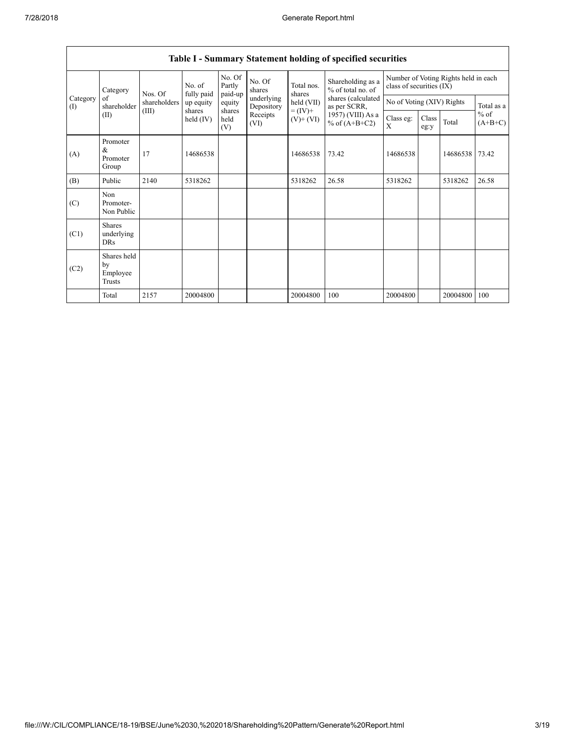|                 | Category                                  | Nos. Of      | No. of<br>fully paid  | No. Of<br>Partly<br>paid-up | No. Of<br>shares         | Total nos.<br>shares                                                                                                     | Shareholding as a<br>% of total no. of | Number of Voting Rights held in each<br>class of securities (IX) |  |            |                |               |       |
|-----------------|-------------------------------------------|--------------|-----------------------|-----------------------------|--------------------------|--------------------------------------------------------------------------------------------------------------------------|----------------------------------------|------------------------------------------------------------------|--|------------|----------------|---------------|-------|
| Category<br>(1) | of<br>shareholder                         | shareholders | up equity             | equity                      | underlying<br>Depository | shares (calculated<br>held (VII)<br>as per SCRR,<br>$= (IV) +$<br>1957) (VIII) As a<br>$(V)$ + $(VI)$<br>% of $(A+B+C2)$ | No of Voting (XIV) Rights              |                                                                  |  | Total as a |                |               |       |
|                 | (II)                                      | (III)        | shares<br>held $(IV)$ | shares<br>held<br>(V)       | Receipts<br>(VI)         |                                                                                                                          |                                        |                                                                  |  |            | Class eg:<br>X | Class<br>eg:y | Total |
| (A)             | Promoter<br>&<br>Promoter<br>Group        | 17           | 14686538              |                             |                          | 14686538                                                                                                                 | 73.42                                  | 14686538                                                         |  | 14686538   | 73.42          |               |       |
| (B)             | Public                                    | 2140         | 5318262               |                             |                          | 5318262                                                                                                                  | 26.58                                  | 5318262                                                          |  | 5318262    | 26.58          |               |       |
| (C)             | Non<br>Promoter-<br>Non Public            |              |                       |                             |                          |                                                                                                                          |                                        |                                                                  |  |            |                |               |       |
| (C1)            | <b>Shares</b><br>underlying<br><b>DRs</b> |              |                       |                             |                          |                                                                                                                          |                                        |                                                                  |  |            |                |               |       |
| (C2)            | Shares held<br>by<br>Employee<br>Trusts   |              |                       |                             |                          |                                                                                                                          |                                        |                                                                  |  |            |                |               |       |
|                 | Total                                     | 2157         | 20004800              |                             |                          | 20004800                                                                                                                 | 100                                    | 20004800                                                         |  | 20004800   | 100            |               |       |

## Table I - Summary Statement holding of specified securities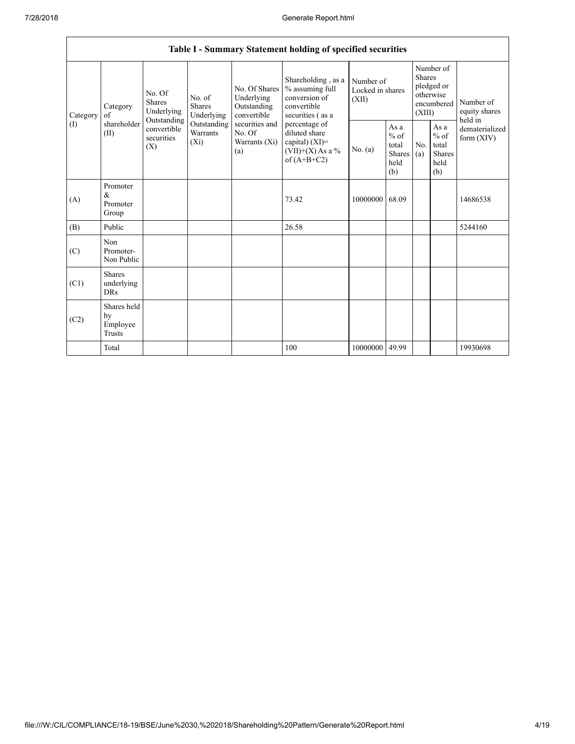|          |                                                         |                                                 |                                    |                                                           | Table I - Summary Statement holding of specified securities                                |                                        |                                                   |                                                                               |                                                         |                                       |
|----------|---------------------------------------------------------|-------------------------------------------------|------------------------------------|-----------------------------------------------------------|--------------------------------------------------------------------------------------------|----------------------------------------|---------------------------------------------------|-------------------------------------------------------------------------------|---------------------------------------------------------|---------------------------------------|
| Category | No. Of<br><b>Shares</b><br>Category<br>Underlying<br>of |                                                 | No. of<br>Shares<br>Underlying     | No. Of Shares<br>Underlying<br>Outstanding<br>convertible | Shareholding, as a<br>% assuming full<br>conversion of<br>convertible<br>securities (as a  | Number of<br>Locked in shares<br>(XII) |                                                   | Number of<br><b>Shares</b><br>pledged or<br>otherwise<br>encumbered<br>(XIII) |                                                         | Number of<br>equity shares<br>held in |
| (1)      | shareholder<br>(II)                                     | Outstanding<br>convertible<br>securities<br>(X) | Outstanding<br>Warrants<br>$(X_i)$ | securities and<br>No. Of<br>Warrants (Xi)<br>(a)          | percentage of<br>diluted share<br>capital) $(XI)$ =<br>$(VII)+(X)$ As a %<br>of $(A+B+C2)$ | No. $(a)$                              | As a<br>$\%$ of<br>total<br>Shares<br>held<br>(b) | No.<br>(a)                                                                    | As a<br>$%$ of<br>total<br><b>Shares</b><br>held<br>(b) | dematerialized<br>form $(XIV)$        |
| (A)      | Promoter<br>&<br>Promoter<br>Group                      |                                                 |                                    |                                                           | 73.42                                                                                      | 10000000                               | 68.09                                             |                                                                               |                                                         | 14686538                              |
| (B)      | Public                                                  |                                                 |                                    |                                                           | 26.58                                                                                      |                                        |                                                   |                                                                               |                                                         | 5244160                               |
| (C)      | Non<br>Promoter-<br>Non Public                          |                                                 |                                    |                                                           |                                                                                            |                                        |                                                   |                                                                               |                                                         |                                       |
| (C1)     | <b>Shares</b><br>underlying<br><b>DRs</b>               |                                                 |                                    |                                                           |                                                                                            |                                        |                                                   |                                                                               |                                                         |                                       |
| (C2)     | Shares held<br>by<br>Employee<br>Trusts                 |                                                 |                                    |                                                           |                                                                                            |                                        |                                                   |                                                                               |                                                         |                                       |
|          | Total                                                   |                                                 |                                    |                                                           | 100                                                                                        | 10000000                               | 49.99                                             |                                                                               |                                                         | 19930698                              |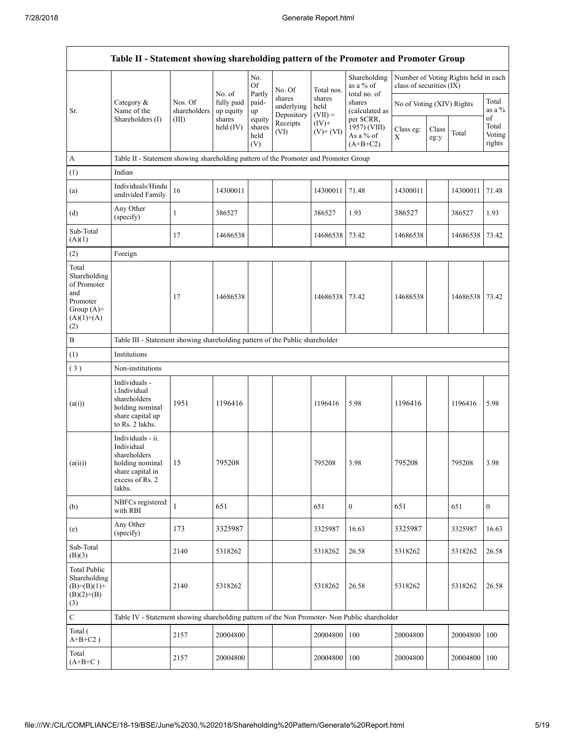|                                                                                                | Table II - Statement showing shareholding pattern of the Promoter and Promoter Group                                |                         |                         |                                 |                                    |                             |                                                      |                           |               |                                      |                                 |
|------------------------------------------------------------------------------------------------|---------------------------------------------------------------------------------------------------------------------|-------------------------|-------------------------|---------------------------------|------------------------------------|-----------------------------|------------------------------------------------------|---------------------------|---------------|--------------------------------------|---------------------------------|
|                                                                                                |                                                                                                                     |                         | No. of                  | No.<br>Of<br>Partly             | No. Of                             | Total nos.                  | Shareholding<br>as a % of<br>total no. of            | class of securities (IX)  |               | Number of Voting Rights held in each |                                 |
| Sr.                                                                                            | Category &<br>Name of the                                                                                           | Nos. Of<br>shareholders | fully paid<br>up equity | paid-<br>up                     | shares<br>underlying<br>Depository | shares<br>held<br>$(VII) =$ | shares<br>(calculated as                             | No of Voting (XIV) Rights |               |                                      | Total<br>as a %                 |
|                                                                                                | Shareholders (I)                                                                                                    | (III)                   | shares<br>held $(IV)$   | equity<br>shares<br>held<br>(V) | Receipts<br>(VI)                   | $(IV)$ +<br>$(V)+(VI)$      | per SCRR,<br>1957) (VIII)<br>As a % of<br>$(A+B+C2)$ | Class eg:<br>Х            | Class<br>eg:y | Total                                | οf<br>Total<br>Voting<br>rights |
| $\mathbf{A}$                                                                                   | Table II - Statement showing shareholding pattern of the Promoter and Promoter Group                                |                         |                         |                                 |                                    |                             |                                                      |                           |               |                                      |                                 |
| (1)                                                                                            | Indian                                                                                                              |                         |                         |                                 |                                    |                             |                                                      |                           |               |                                      |                                 |
| (a)                                                                                            | Individuals/Hindu<br>undivided Family                                                                               | 16                      | 14300011                |                                 |                                    | 14300011                    | 71.48                                                | 14300011                  |               | 14300011                             | 71.48                           |
| (d)                                                                                            | Any Other<br>(specify)                                                                                              | 1                       | 386527                  |                                 |                                    | 386527                      | 1.93                                                 | 386527                    |               | 386527                               | 1.93                            |
| Sub-Total<br>(A)(1)                                                                            |                                                                                                                     | 17                      | 14686538                |                                 |                                    | 14686538                    | 73.42                                                | 14686538                  |               | 14686538                             | 73.42                           |
| (2)                                                                                            | Foreign                                                                                                             |                         |                         |                                 |                                    |                             |                                                      |                           |               |                                      |                                 |
| Total<br>Shareholding<br>of Promoter<br>and<br>Promoter<br>Group $(A)=$<br>$(A)(1)+(A)$<br>(2) |                                                                                                                     | 17                      | 14686538                |                                 |                                    | 14686538                    | 73.42                                                | 14686538                  |               | 14686538                             | 73.42                           |
| $\, {\bf B}$                                                                                   | Table III - Statement showing shareholding pattern of the Public shareholder                                        |                         |                         |                                 |                                    |                             |                                                      |                           |               |                                      |                                 |
| (1)                                                                                            | Institutions                                                                                                        |                         |                         |                                 |                                    |                             |                                                      |                           |               |                                      |                                 |
| (3)                                                                                            | Non-institutions                                                                                                    |                         |                         |                                 |                                    |                             |                                                      |                           |               |                                      |                                 |
| (a(i))                                                                                         | Individuals -<br><i>i.Individual</i><br>shareholders<br>holding nominal<br>share capital up<br>to Rs. 2 lakhs.      | 1951                    | 1196416                 |                                 |                                    | 1196416                     | 5.98                                                 | 1196416                   |               | 1196416                              | 5.98                            |
| (a(ii))                                                                                        | Individuals - ii.<br>Individual<br>shareholders<br>holding nominal<br>share capital in<br>excess of Rs. 2<br>lakhs. | 15                      | 795208                  |                                 |                                    | 795208                      | 3.98                                                 | 795208                    |               | 795208                               | 3.98                            |
| (b)                                                                                            | NBFCs registered<br>with RBI                                                                                        | $\mathbf{1}$            | 651                     |                                 |                                    | 651                         | $\mathbf{0}$                                         | 651                       |               | 651                                  | $\boldsymbol{0}$                |
| (e)                                                                                            | Any Other<br>(specify)                                                                                              | 173                     | 3325987                 |                                 |                                    | 3325987                     | 16.63                                                | 3325987                   |               | 3325987                              | 16.63                           |
| Sub-Total<br>(B)(3)                                                                            |                                                                                                                     | 2140                    | 5318262                 |                                 |                                    | 5318262                     | 26.58                                                | 5318262                   |               | 5318262                              | 26.58                           |
| <b>Total Public</b><br>Shareholding<br>$(B)= (B)(1) +$<br>$(B)(2)+(B)$<br>(3)                  |                                                                                                                     | 2140                    | 5318262                 |                                 |                                    | 5318262                     | 26.58                                                | 5318262                   |               | 5318262                              | 26.58                           |
| $\mathbf C$                                                                                    | Table IV - Statement showing shareholding pattern of the Non Promoter- Non Public shareholder                       |                         |                         |                                 |                                    |                             |                                                      |                           |               |                                      |                                 |
| Total (<br>$A+B+C2$ )                                                                          |                                                                                                                     | 2157                    | 20004800                |                                 |                                    | 20004800                    | 100                                                  | 20004800                  |               | 20004800                             | 100                             |
| Total<br>$(A+B+C)$                                                                             |                                                                                                                     | 2157                    | 20004800                |                                 |                                    | 20004800                    | 100                                                  | 20004800                  |               | 20004800                             | 100                             |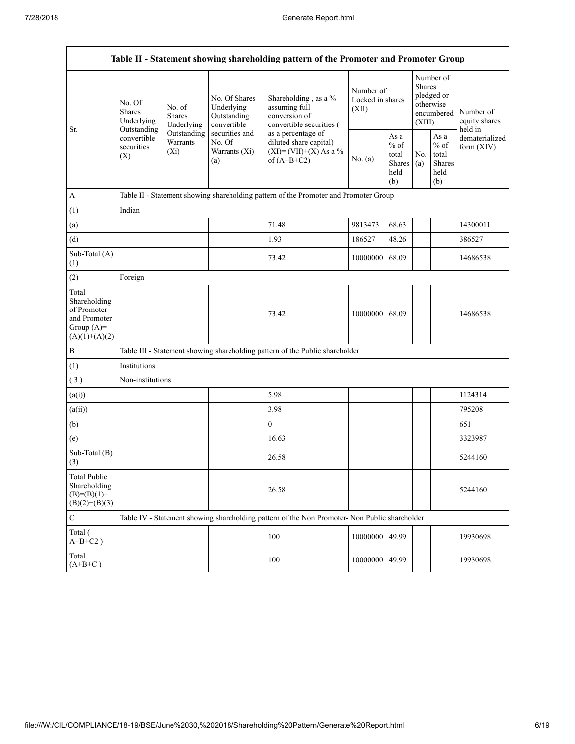|                                                                                         |                                                 |                                       |                                                                                                                                                | Table II - Statement showing shareholding pattern of the Promoter and Promoter Group          |                                        |                                                         |                         |                                                    |                                       |  |  |
|-----------------------------------------------------------------------------------------|-------------------------------------------------|---------------------------------------|------------------------------------------------------------------------------------------------------------------------------------------------|-----------------------------------------------------------------------------------------------|----------------------------------------|---------------------------------------------------------|-------------------------|----------------------------------------------------|---------------------------------------|--|--|
|                                                                                         | No. Of<br><b>Shares</b><br>Underlying           | No. of<br><b>Shares</b><br>Underlying | No. Of Shares<br>Underlying<br>Outstanding<br>convertible                                                                                      | Shareholding, as a %<br>assuming full<br>conversion of<br>convertible securities (            | Number of<br>Locked in shares<br>(XII) |                                                         | <b>Shares</b><br>(XIII) | Number of<br>pledged or<br>otherwise<br>encumbered | Number of<br>equity shares<br>held in |  |  |
| Sr.                                                                                     | Outstanding<br>convertible<br>securities<br>(X) | Outstanding<br>Warrants<br>$(X_i)$    | securities and<br>as a percentage of<br>No. Of<br>diluted share capital)<br>$(XI) = (VII)+(X) As a %$<br>Warrants (Xi)<br>of $(A+B+C2)$<br>(a) |                                                                                               | No. $(a)$                              | As a<br>$%$ of<br>total<br><b>Shares</b><br>held<br>(b) | No.<br>(a)              | As a<br>$%$ of<br>total<br>Shares<br>held<br>(b)   | dematerialized<br>form $(XIV)$        |  |  |
| $\mathbf{A}$                                                                            |                                                 |                                       |                                                                                                                                                | Table II - Statement showing shareholding pattern of the Promoter and Promoter Group          |                                        |                                                         |                         |                                                    |                                       |  |  |
| (1)                                                                                     | Indian                                          |                                       |                                                                                                                                                |                                                                                               |                                        |                                                         |                         |                                                    |                                       |  |  |
| (a)                                                                                     |                                                 |                                       |                                                                                                                                                | 71.48                                                                                         | 9813473                                | 68.63                                                   |                         |                                                    | 14300011                              |  |  |
| (d)                                                                                     |                                                 |                                       |                                                                                                                                                | 1.93                                                                                          | 186527                                 | 48.26                                                   |                         |                                                    | 386527                                |  |  |
| Sub-Total (A)<br>(1)                                                                    |                                                 |                                       |                                                                                                                                                | 73.42                                                                                         | 10000000                               | 68.09                                                   |                         |                                                    | 14686538                              |  |  |
| (2)                                                                                     | Foreign                                         |                                       |                                                                                                                                                |                                                                                               |                                        |                                                         |                         |                                                    |                                       |  |  |
| Total<br>Shareholding<br>of Promoter<br>and Promoter<br>Group $(A)=$<br>$(A)(1)+(A)(2)$ |                                                 |                                       |                                                                                                                                                | 73.42                                                                                         | 10000000 68.09                         |                                                         |                         |                                                    | 14686538                              |  |  |
| $\, {\bf B}$                                                                            |                                                 |                                       |                                                                                                                                                | Table III - Statement showing shareholding pattern of the Public shareholder                  |                                        |                                                         |                         |                                                    |                                       |  |  |
| (1)                                                                                     | Institutions                                    |                                       |                                                                                                                                                |                                                                                               |                                        |                                                         |                         |                                                    |                                       |  |  |
| (3)                                                                                     | Non-institutions                                |                                       |                                                                                                                                                |                                                                                               |                                        |                                                         |                         |                                                    |                                       |  |  |
| (a(i))                                                                                  |                                                 |                                       |                                                                                                                                                | 5.98                                                                                          |                                        |                                                         |                         |                                                    | 1124314                               |  |  |
| (a(ii))                                                                                 |                                                 |                                       |                                                                                                                                                | 3.98                                                                                          |                                        |                                                         |                         |                                                    | 795208                                |  |  |
| (b)                                                                                     |                                                 |                                       |                                                                                                                                                | $\boldsymbol{0}$                                                                              |                                        |                                                         |                         |                                                    | 651                                   |  |  |
| (e)                                                                                     |                                                 |                                       |                                                                                                                                                | 16.63                                                                                         |                                        |                                                         |                         |                                                    | 3323987                               |  |  |
| Sub-Total (B)<br>(3)                                                                    |                                                 |                                       |                                                                                                                                                | 26.58                                                                                         |                                        |                                                         |                         |                                                    | 5244160                               |  |  |
| <b>Total Public</b><br>Shareholding<br>$(B)= (B)(1) +$<br>$(B)(2)+(B)(3)$               |                                                 |                                       |                                                                                                                                                | 26.58                                                                                         |                                        |                                                         |                         |                                                    | 5244160                               |  |  |
| $\mathbf C$                                                                             |                                                 |                                       |                                                                                                                                                | Table IV - Statement showing shareholding pattern of the Non Promoter- Non Public shareholder |                                        |                                                         |                         |                                                    |                                       |  |  |
| Total (<br>$A+B+C2$ )                                                                   |                                                 |                                       |                                                                                                                                                | 100                                                                                           | 10000000                               | 49.99                                                   |                         |                                                    | 19930698                              |  |  |
| Total<br>$(A+B+C)$                                                                      |                                                 |                                       |                                                                                                                                                | 100                                                                                           | 10000000                               | 49.99                                                   |                         |                                                    | 19930698                              |  |  |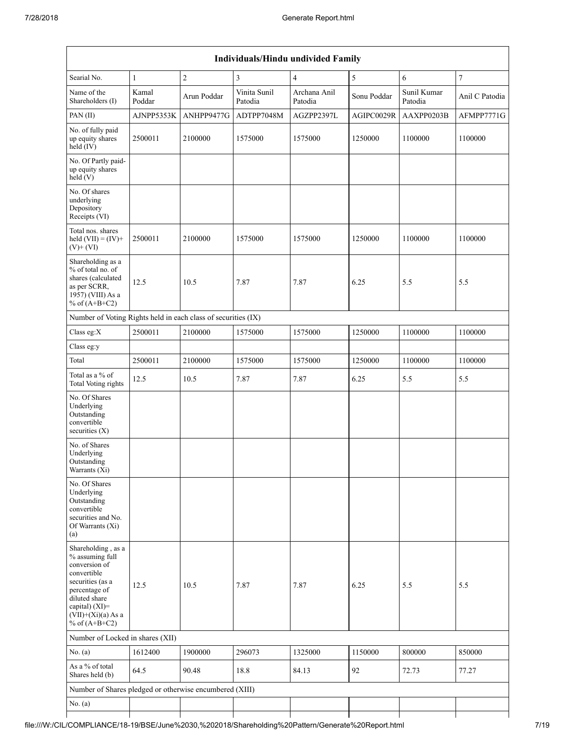|                                                                                                                                                                                             |                 |                |                         | Individuals/Hindu undivided Family |             |                        |                  |
|---------------------------------------------------------------------------------------------------------------------------------------------------------------------------------------------|-----------------|----------------|-------------------------|------------------------------------|-------------|------------------------|------------------|
| Searial No.                                                                                                                                                                                 | $\mathbf{1}$    | $\overline{c}$ | $\overline{\mathbf{3}}$ | $\overline{4}$                     | 5           | 6                      | $\boldsymbol{7}$ |
| Name of the<br>Shareholders (I)                                                                                                                                                             | Kamal<br>Poddar | Arun Poddar    | Vinita Sunil<br>Patodia | Archana Anil<br>Patodia            | Sonu Poddar | Sunil Kumar<br>Patodia | Anil C Patodia   |
| PAN(II)                                                                                                                                                                                     | AJNPP5353K      | ANHPP9477G     | ADTPP7048M              | AGZPP2397L                         | AGIPC0029R  | AAXPP0203B             | AFMPP7771G       |
| No. of fully paid<br>up equity shares<br>held (IV)                                                                                                                                          | 2500011         | 2100000        | 1575000                 | 1575000                            | 1250000     | 1100000                | 1100000          |
| No. Of Partly paid-<br>up equity shares<br>held(V)                                                                                                                                          |                 |                |                         |                                    |             |                        |                  |
| No. Of shares<br>underlying<br>Depository<br>Receipts (VI)                                                                                                                                  |                 |                |                         |                                    |             |                        |                  |
| Total nos. shares<br>held $(VII) = (IV) +$<br>$(V)+(VI)$                                                                                                                                    | 2500011         | 2100000        | 1575000                 | 1575000                            | 1250000     | 1100000                | 1100000          |
| Shareholding as a<br>% of total no. of<br>shares (calculated<br>as per SCRR,<br>1957) (VIII) As a<br>% of $(A+B+C2)$                                                                        | 12.5            | 10.5           | 7.87                    | 7.87                               | 6.25        | 5.5                    | 5.5              |
| Number of Voting Rights held in each class of securities (IX)                                                                                                                               |                 |                |                         |                                    |             |                        |                  |
| Class eg:X                                                                                                                                                                                  | 2500011         | 2100000        | 1575000                 | 1575000                            | 1250000     | 1100000                | 1100000          |
| Class eg:y                                                                                                                                                                                  |                 |                |                         |                                    |             |                        |                  |
| Total                                                                                                                                                                                       | 2500011         | 2100000        | 1575000                 | 1575000                            | 1250000     | 1100000                | 1100000          |
| Total as a % of<br>Total Voting rights                                                                                                                                                      | 12.5            | 10.5           | 7.87                    | 7.87                               | 6.25        | 5.5                    | 5.5              |
| No. Of Shares<br>Underlying<br>Outstanding<br>convertible<br>securities $(X)$                                                                                                               |                 |                |                         |                                    |             |                        |                  |
| No. of Shares<br>Underlying<br>Outstanding<br>Warrants (Xi)                                                                                                                                 |                 |                |                         |                                    |             |                        |                  |
| No. Of Shares<br>Underlying<br>Outstanding<br>convertible<br>securities and No.<br>Of Warrants (Xi)<br>(a)                                                                                  |                 |                |                         |                                    |             |                        |                  |
| Shareholding, as a<br>% assuming full<br>conversion of<br>convertible<br>securities (as a<br>percentage of<br>diluted share<br>capital) $(XI)$ =<br>$(VII)+(Xi)(a) As a$<br>% of $(A+B+C2)$ | 12.5            | 10.5           | 7.87                    | 7.87                               | 6.25        | 5.5                    | 5.5              |
| Number of Locked in shares (XII)                                                                                                                                                            |                 |                |                         |                                    |             |                        |                  |
| No. $(a)$                                                                                                                                                                                   | 1612400         | 1900000        | 296073                  | 1325000                            | 1150000     | 800000                 | 850000           |
| As a % of total<br>Shares held (b)                                                                                                                                                          | 64.5            | 90.48          | 18.8                    | 84.13                              | 92          | 72.73                  | 77.27            |
| Number of Shares pledged or otherwise encumbered (XIII)                                                                                                                                     |                 |                |                         |                                    |             |                        |                  |
| No. (a)                                                                                                                                                                                     |                 |                |                         |                                    |             |                        |                  |
|                                                                                                                                                                                             |                 |                |                         |                                    |             |                        |                  |

# file:///W:/CIL/COMPLIANCE/18-19/BSE/June%2030,%202018/Shareholding%20Pattern/Generate%20Report.html 7/19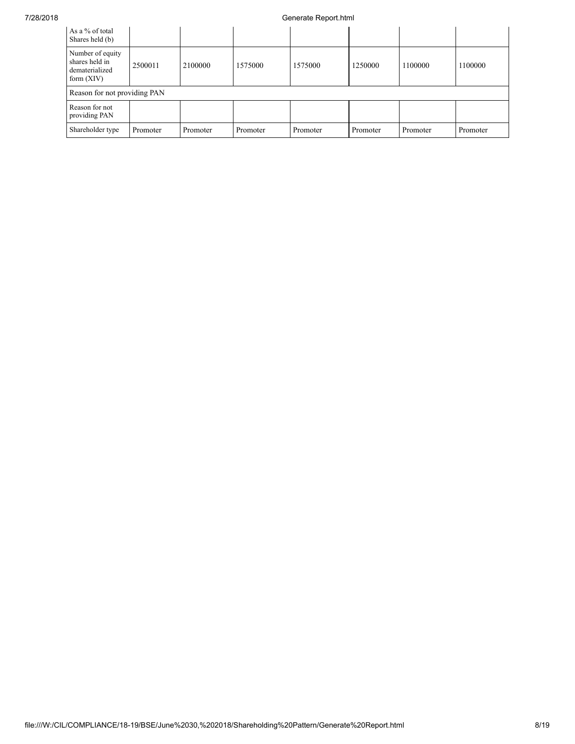### 7/28/2018 Generate Report.html

| As a % of total<br>Shares held (b)                                   |          |          |          |          |          |          |          |
|----------------------------------------------------------------------|----------|----------|----------|----------|----------|----------|----------|
| Number of equity<br>shares held in<br>dematerialized<br>form $(XIV)$ | 2500011  | 2100000  | 1575000  | 1575000  | 1250000  | 1100000  | 1100000  |
| Reason for not providing PAN                                         |          |          |          |          |          |          |          |
| Reason for not<br>providing PAN                                      |          |          |          |          |          |          |          |
| Shareholder type                                                     | Promoter | Promoter | Promoter | Promoter | Promoter | Promoter | Promoter |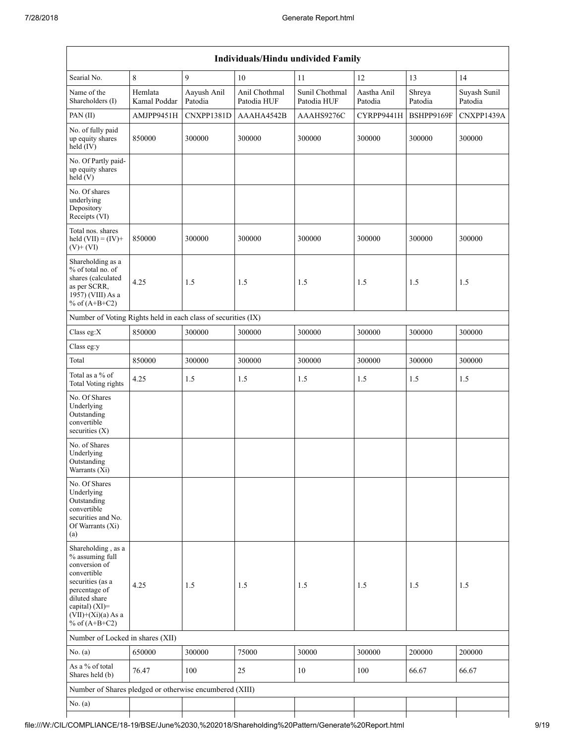|                                                                                                                                                                                             |                         |                        |                              | Individuals/Hindu undivided Family |                        |                   |                         |
|---------------------------------------------------------------------------------------------------------------------------------------------------------------------------------------------|-------------------------|------------------------|------------------------------|------------------------------------|------------------------|-------------------|-------------------------|
| Searial No.                                                                                                                                                                                 | $\,$ 8 $\,$             | 9                      | 10                           | 11                                 | 12                     | 13                | 14                      |
| Name of the<br>Shareholders (I)                                                                                                                                                             | Hemlata<br>Kamal Poddar | Aayush Anil<br>Patodia | Anil Chothmal<br>Patodia HUF | Sunil Chothmal<br>Patodia HUF      | Aastha Anil<br>Patodia | Shreya<br>Patodia | Suyash Sunil<br>Patodia |
| PAN(II)                                                                                                                                                                                     | AMJPP9451H              | CNXPP1381D             | AAAHA4542B                   | AAAHS9276C                         | CYRPP9441H             | BSHPP9169F        | CNXPP1439A              |
| No. of fully paid<br>up equity shares<br>held (IV)                                                                                                                                          | 850000                  | 300000                 | 300000                       | 300000                             | 300000                 | 300000            | 300000                  |
| No. Of Partly paid-<br>up equity shares<br>held(V)                                                                                                                                          |                         |                        |                              |                                    |                        |                   |                         |
| No. Of shares<br>underlying<br>Depository<br>Receipts (VI)                                                                                                                                  |                         |                        |                              |                                    |                        |                   |                         |
| Total nos. shares<br>held $(VII) = (IV) +$<br>$(V)+(VI)$                                                                                                                                    | 850000                  | 300000                 | 300000                       | 300000                             | 300000                 | 300000            | 300000                  |
| Shareholding as a<br>% of total no. of<br>shares (calculated<br>as per SCRR,<br>1957) (VIII) As a<br>% of $(A+B+C2)$                                                                        | 4.25                    | 1.5                    | 1.5                          | 1.5                                | 1.5                    | 1.5               | 1.5                     |
| Number of Voting Rights held in each class of securities (IX)                                                                                                                               |                         |                        |                              |                                    |                        |                   |                         |
| Class eg:X                                                                                                                                                                                  | 850000                  | 300000                 | 300000                       | 300000                             | 300000                 | 300000            | 300000                  |
| Class eg:y                                                                                                                                                                                  |                         |                        |                              |                                    |                        |                   |                         |
| Total                                                                                                                                                                                       | 850000                  | 300000                 | 300000                       | 300000                             | 300000                 | 300000            | 300000                  |
| Total as a % of<br>Total Voting rights                                                                                                                                                      | 4.25                    | 1.5                    | 1.5                          | 1.5                                | 1.5                    | 1.5               | 1.5                     |
| No. Of Shares<br>Underlying<br>Outstanding<br>convertible<br>securities $(X)$                                                                                                               |                         |                        |                              |                                    |                        |                   |                         |
| No. of Shares<br>Underlying<br>Outstanding<br>Warrants (X1)                                                                                                                                 |                         |                        |                              |                                    |                        |                   |                         |
| No. Of Shares<br>Underlying<br>Outstanding<br>convertible<br>securities and No.<br>Of Warrants (Xi)<br>(a)                                                                                  |                         |                        |                              |                                    |                        |                   |                         |
| Shareholding, as a<br>% assuming full<br>conversion of<br>convertible<br>securities (as a<br>percentage of<br>diluted share<br>capital) $(XI)$ =<br>$(VII)+(Xi)(a) As a$<br>% of $(A+B+C2)$ | 4.25                    | 1.5                    | 1.5                          | 1.5                                | 1.5                    | 1.5               | 1.5                     |
| Number of Locked in shares (XII)                                                                                                                                                            |                         |                        |                              |                                    |                        |                   |                         |
| No. $(a)$                                                                                                                                                                                   | 650000                  | 300000                 | 75000                        | 30000                              | 300000                 | 200000            | 200000                  |
| As a % of total<br>Shares held (b)                                                                                                                                                          | 76.47                   | 100                    | 25                           | 10                                 | 100                    | 66.67             | 66.67                   |
| Number of Shares pledged or otherwise encumbered (XIII)                                                                                                                                     |                         |                        |                              |                                    |                        |                   |                         |
| No. $(a)$                                                                                                                                                                                   |                         |                        |                              |                                    |                        |                   |                         |
|                                                                                                                                                                                             |                         |                        |                              |                                    |                        |                   |                         |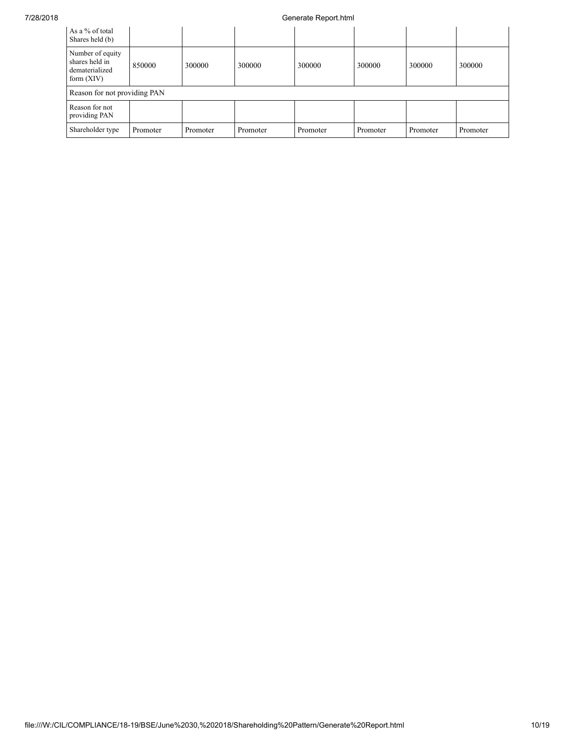### 7/28/2018 Generate Report.html

| As a % of total<br>Shares held (b)                                   |          |          |          |          |          |          |          |
|----------------------------------------------------------------------|----------|----------|----------|----------|----------|----------|----------|
| Number of equity<br>shares held in<br>dematerialized<br>form $(XIV)$ | 850000   | 300000   | 300000   | 300000   | 300000   | 300000   | 300000   |
| Reason for not providing PAN                                         |          |          |          |          |          |          |          |
| Reason for not<br>providing PAN                                      |          |          |          |          |          |          |          |
| Shareholder type                                                     | Promoter | Promoter | Promoter | Promoter | Promoter | Promoter | Promoter |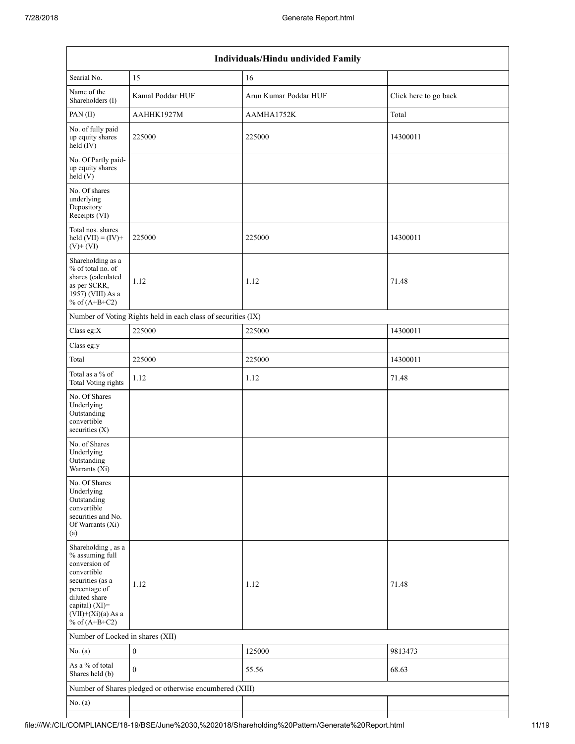|                                                                                                                                                                                          | Individuals/Hindu undivided Family                            |                       |                       |  |  |  |  |  |  |  |  |
|------------------------------------------------------------------------------------------------------------------------------------------------------------------------------------------|---------------------------------------------------------------|-----------------------|-----------------------|--|--|--|--|--|--|--|--|
| Searial No.                                                                                                                                                                              | 15                                                            | 16                    |                       |  |  |  |  |  |  |  |  |
| Name of the<br>Shareholders (I)                                                                                                                                                          | Kamal Poddar HUF                                              | Arun Kumar Poddar HUF | Click here to go back |  |  |  |  |  |  |  |  |
| PAN(II)                                                                                                                                                                                  | AAHHK1927M                                                    | AAMHA1752K            | Total                 |  |  |  |  |  |  |  |  |
| No. of fully paid<br>up equity shares<br>$held$ (IV)                                                                                                                                     | 225000                                                        | 225000                | 14300011              |  |  |  |  |  |  |  |  |
| No. Of Partly paid-<br>up equity shares<br>held(V)                                                                                                                                       |                                                               |                       |                       |  |  |  |  |  |  |  |  |
| No. Of shares<br>underlying<br>Depository<br>Receipts (VI)                                                                                                                               |                                                               |                       |                       |  |  |  |  |  |  |  |  |
| Total nos. shares<br>held $(VII) = (IV) +$<br>$(V)$ + $(VI)$                                                                                                                             | 225000                                                        | 225000                | 14300011              |  |  |  |  |  |  |  |  |
| Shareholding as a<br>% of total no. of<br>shares (calculated<br>as per SCRR,<br>1957) (VIII) As a<br>% of $(A+B+C2)$                                                                     | 1.12                                                          | 1.12                  | 71.48                 |  |  |  |  |  |  |  |  |
|                                                                                                                                                                                          | Number of Voting Rights held in each class of securities (IX) |                       |                       |  |  |  |  |  |  |  |  |
| Class eg:X                                                                                                                                                                               | 225000                                                        | 225000                | 14300011              |  |  |  |  |  |  |  |  |
| Class eg:y                                                                                                                                                                               |                                                               |                       |                       |  |  |  |  |  |  |  |  |
| Total                                                                                                                                                                                    | 225000                                                        | 225000                | 14300011              |  |  |  |  |  |  |  |  |
| Total as a % of<br>Total Voting rights                                                                                                                                                   | 1.12                                                          | 1.12                  | 71.48                 |  |  |  |  |  |  |  |  |
| No. Of Shares<br>Underlying<br>Outstanding<br>convertible<br>securities (X)                                                                                                              |                                                               |                       |                       |  |  |  |  |  |  |  |  |
| No. of Shares<br>Underlying<br>Outstanding<br>Warrants (Xi)                                                                                                                              |                                                               |                       |                       |  |  |  |  |  |  |  |  |
| No. Of Shares<br>Underlying<br>Outstanding<br>convertible<br>securities and No.<br>Of Warrants (Xi)<br>(a)                                                                               |                                                               |                       |                       |  |  |  |  |  |  |  |  |
| Shareholding, as a<br>% assuming full<br>conversion of<br>convertible<br>securities (as a<br>percentage of<br>diluted share<br>capital) (XI)=<br>$(VII)+(Xi)(a)$ As a<br>% of $(A+B+C2)$ | 1.12                                                          | 1.12                  | 71.48                 |  |  |  |  |  |  |  |  |
| Number of Locked in shares (XII)                                                                                                                                                         |                                                               |                       |                       |  |  |  |  |  |  |  |  |
| No. (a)                                                                                                                                                                                  | $\boldsymbol{0}$                                              | 125000                | 9813473               |  |  |  |  |  |  |  |  |
| As a % of total<br>Shares held (b)                                                                                                                                                       | $\mathbf{0}$                                                  | 55.56                 | 68.63                 |  |  |  |  |  |  |  |  |
|                                                                                                                                                                                          | Number of Shares pledged or otherwise encumbered (XIII)       |                       |                       |  |  |  |  |  |  |  |  |
| No. (a)                                                                                                                                                                                  |                                                               |                       |                       |  |  |  |  |  |  |  |  |
|                                                                                                                                                                                          |                                                               |                       |                       |  |  |  |  |  |  |  |  |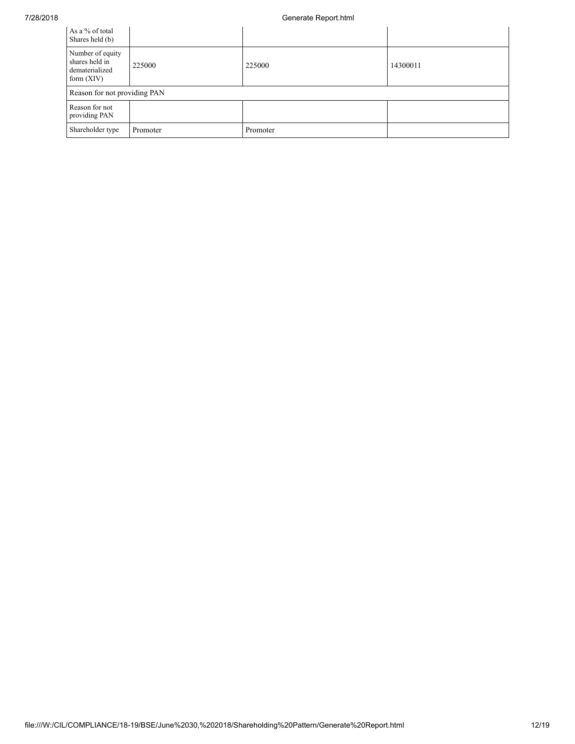### 7/28/2018 Generate Report.html

| As a % of total<br>Shares held (b)                                   |          |          |          |
|----------------------------------------------------------------------|----------|----------|----------|
| Number of equity<br>shares held in<br>dematerialized<br>form $(XIV)$ | 225000   | 225000   | 14300011 |
| Reason for not providing PAN                                         |          |          |          |
| Reason for not<br>providing PAN                                      |          |          |          |
| Shareholder type                                                     | Promoter | Promoter |          |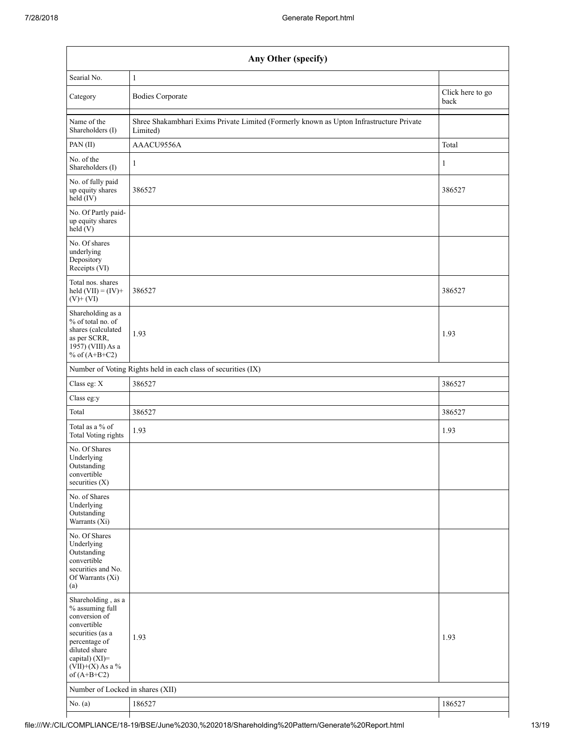| Any Other (specify)                                                                                                                                                                  |                                                                                                     |        |  |  |
|--------------------------------------------------------------------------------------------------------------------------------------------------------------------------------------|-----------------------------------------------------------------------------------------------------|--------|--|--|
| Searial No.                                                                                                                                                                          | 1                                                                                                   |        |  |  |
| Category                                                                                                                                                                             | Click here to go<br><b>Bodies Corporate</b><br>back                                                 |        |  |  |
| Name of the<br>Shareholders (I)                                                                                                                                                      | Shree Shakambhari Exims Private Limited (Formerly known as Upton Infrastructure Private<br>Limited) |        |  |  |
| PAN(II)                                                                                                                                                                              | AAACU9556A<br>Total                                                                                 |        |  |  |
| No. of the<br>Shareholders (I)                                                                                                                                                       | $\mathbf{1}$<br>1                                                                                   |        |  |  |
| No. of fully paid<br>up equity shares<br>held (IV)                                                                                                                                   | 386527<br>386527                                                                                    |        |  |  |
| No. Of Partly paid-<br>up equity shares<br>held(V)                                                                                                                                   |                                                                                                     |        |  |  |
| No. Of shares<br>underlying<br>Depository<br>Receipts (VI)                                                                                                                           |                                                                                                     |        |  |  |
| Total nos. shares<br>held $(VII) = (IV) +$<br>$(V)$ + $(VI)$                                                                                                                         | 386527                                                                                              | 386527 |  |  |
| Shareholding as a<br>% of total no. of<br>shares (calculated<br>as per SCRR,<br>1957) (VIII) As a<br>% of $(A+B+C2)$                                                                 | 1.93                                                                                                | 1.93   |  |  |
|                                                                                                                                                                                      | Number of Voting Rights held in each class of securities (IX)                                       |        |  |  |
| Class eg: X                                                                                                                                                                          | 386527                                                                                              | 386527 |  |  |
| Class eg:y                                                                                                                                                                           |                                                                                                     |        |  |  |
| Total                                                                                                                                                                                | 386527                                                                                              | 386527 |  |  |
| Total as a % of<br><b>Total Voting rights</b>                                                                                                                                        | 1.93                                                                                                | 1.93   |  |  |
| No. Of Shares<br>Underlying<br>Outstanding<br>convertible<br>securities $(X)$                                                                                                        |                                                                                                     |        |  |  |
| No. of Shares<br>Underlying<br>Outstanding<br>Warrants (Xi)                                                                                                                          |                                                                                                     |        |  |  |
| No. Of Shares<br>Underlying<br>Outstanding<br>convertible<br>securities and No.<br>Of Warrants (Xi)<br>(a)                                                                           |                                                                                                     |        |  |  |
| Shareholding, as a<br>% assuming full<br>conversion of<br>convertible<br>securities (as a<br>percentage of<br>diluted share<br>capital) (XI)=<br>$(VII)+(X)$ As a %<br>of $(A+B+C2)$ | 1.93<br>1.93                                                                                        |        |  |  |
| Number of Locked in shares (XII)                                                                                                                                                     |                                                                                                     |        |  |  |
| No. $(a)$                                                                                                                                                                            | 186527                                                                                              | 186527 |  |  |
|                                                                                                                                                                                      |                                                                                                     |        |  |  |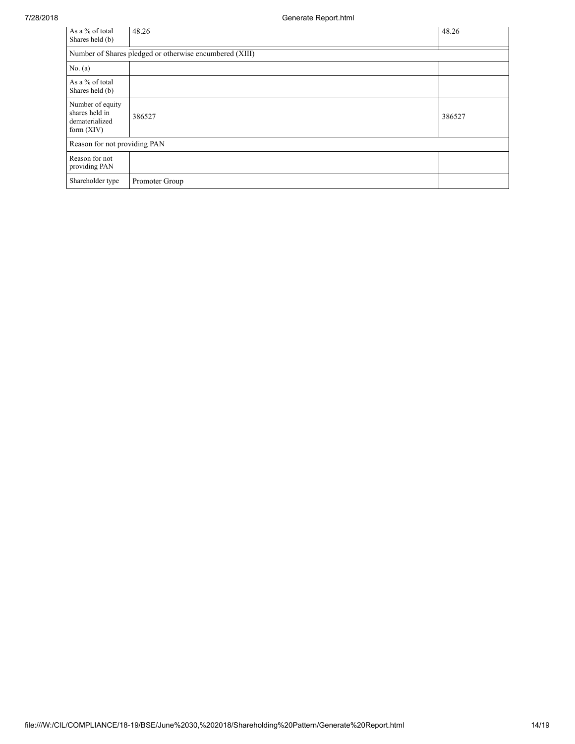| As a % of total<br>Shares held (b)                                   | 48.26                                                   | 48.26  |
|----------------------------------------------------------------------|---------------------------------------------------------|--------|
|                                                                      | Number of Shares pledged or otherwise encumbered (XIII) |        |
| No. $(a)$                                                            |                                                         |        |
| As a % of total<br>Shares held (b)                                   |                                                         |        |
| Number of equity<br>shares held in<br>dematerialized<br>form $(XIV)$ | 386527                                                  | 386527 |
| Reason for not providing PAN                                         |                                                         |        |
| Reason for not<br>providing PAN                                      |                                                         |        |
| Shareholder type                                                     | Promoter Group                                          |        |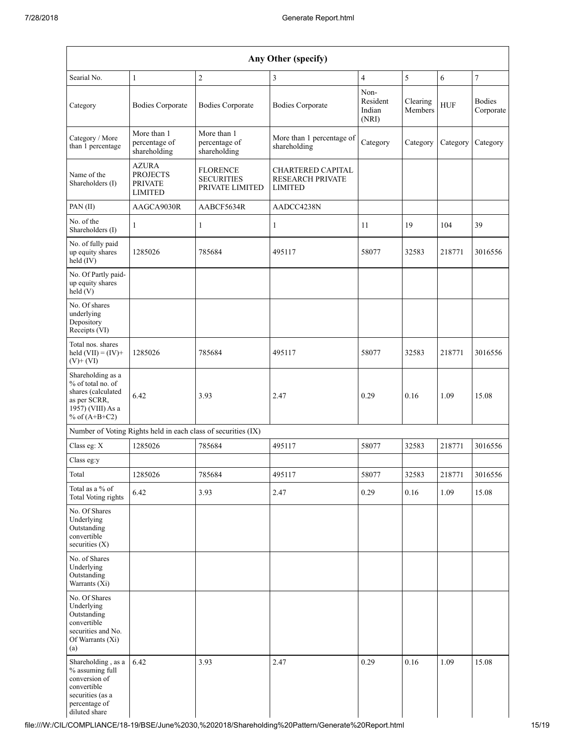| Any Other (specify)                                                                                                         |                                                                     |                                                               |                                                                       |                                     |                     |            |                            |
|-----------------------------------------------------------------------------------------------------------------------------|---------------------------------------------------------------------|---------------------------------------------------------------|-----------------------------------------------------------------------|-------------------------------------|---------------------|------------|----------------------------|
| Searial No.                                                                                                                 | 1                                                                   | $\overline{c}$                                                | 3                                                                     | $\overline{4}$                      | $\sqrt{5}$          | 6          | $\boldsymbol{7}$           |
| Category                                                                                                                    | <b>Bodies Corporate</b>                                             | <b>Bodies Corporate</b>                                       | <b>Bodies Corporate</b>                                               | Non-<br>Resident<br>Indian<br>(NRI) | Clearing<br>Members | <b>HUF</b> | <b>Bodies</b><br>Corporate |
| Category / More<br>than 1 percentage                                                                                        | More than 1<br>percentage of<br>shareholding                        | More than 1<br>percentage of<br>shareholding                  | More than 1 percentage of<br>shareholding                             | Category                            | Category            | Category   | Category                   |
| Name of the<br>Shareholders (I)                                                                                             | <b>AZURA</b><br><b>PROJECTS</b><br><b>PRIVATE</b><br><b>LIMITED</b> | <b>FLORENCE</b><br><b>SECURITIES</b><br>PRIVATE LIMITED       | <b>CHARTERED CAPITAL</b><br><b>RESEARCH PRIVATE</b><br><b>LIMITED</b> |                                     |                     |            |                            |
| PAN(II)                                                                                                                     | AAGCA9030R                                                          | AABCF5634R                                                    | AADCC4238N                                                            |                                     |                     |            |                            |
| No. of the<br>Shareholders (I)                                                                                              | 1                                                                   | $\mathbf{1}$                                                  | $\mathbf{1}$                                                          | 11                                  | 19                  | 104        | 39                         |
| No. of fully paid<br>up equity shares<br>held (IV)                                                                          | 1285026                                                             | 785684                                                        | 495117                                                                | 58077                               | 32583               | 218771     | 3016556                    |
| No. Of Partly paid-<br>up equity shares<br>held(V)                                                                          |                                                                     |                                                               |                                                                       |                                     |                     |            |                            |
| No. Of shares<br>underlying<br>Depository<br>Receipts (VI)                                                                  |                                                                     |                                                               |                                                                       |                                     |                     |            |                            |
| Total nos. shares<br>held $(VII) = (IV) +$<br>$(V)$ + $(VI)$                                                                | 1285026                                                             | 785684                                                        | 495117                                                                | 58077                               | 32583               | 218771     | 3016556                    |
| Shareholding as a<br>% of total no. of<br>shares (calculated<br>as per SCRR,<br>1957) (VIII) As a<br>% of $(A+B+C2)$        | 6.42                                                                | 3.93                                                          | 2.47                                                                  | 0.29                                | 0.16                | 1.09       | 15.08                      |
|                                                                                                                             |                                                                     | Number of Voting Rights held in each class of securities (IX) |                                                                       |                                     |                     |            |                            |
| Class eg: X                                                                                                                 | 1285026                                                             | 785684                                                        | 495117                                                                | 58077                               | 32583               | 218771     | 3016556                    |
| Class eg:y                                                                                                                  |                                                                     |                                                               |                                                                       |                                     |                     |            |                            |
| Total                                                                                                                       | 1285026                                                             | 785684                                                        | 495117                                                                | 58077                               | 32583               | 218771     | 3016556                    |
| Total as a % of<br><b>Total Voting rights</b>                                                                               | 6.42                                                                | 3.93                                                          | 2.47                                                                  | 0.29                                | 0.16                | 1.09       | 15.08                      |
| No. Of Shares<br>Underlying<br>Outstanding<br>convertible<br>securities $(X)$                                               |                                                                     |                                                               |                                                                       |                                     |                     |            |                            |
| No. of Shares<br>Underlying<br>Outstanding<br>Warrants (Xi)                                                                 |                                                                     |                                                               |                                                                       |                                     |                     |            |                            |
| No. Of Shares<br>Underlying<br>Outstanding<br>convertible<br>securities and No.<br>Of Warrants (Xi)<br>(a)                  |                                                                     |                                                               |                                                                       |                                     |                     |            |                            |
| Shareholding, as a<br>% assuming full<br>conversion of<br>convertible<br>securities (as a<br>percentage of<br>diluted share | 6.42                                                                | 3.93                                                          | 2.47                                                                  | 0.29                                | 0.16                | 1.09       | 15.08                      |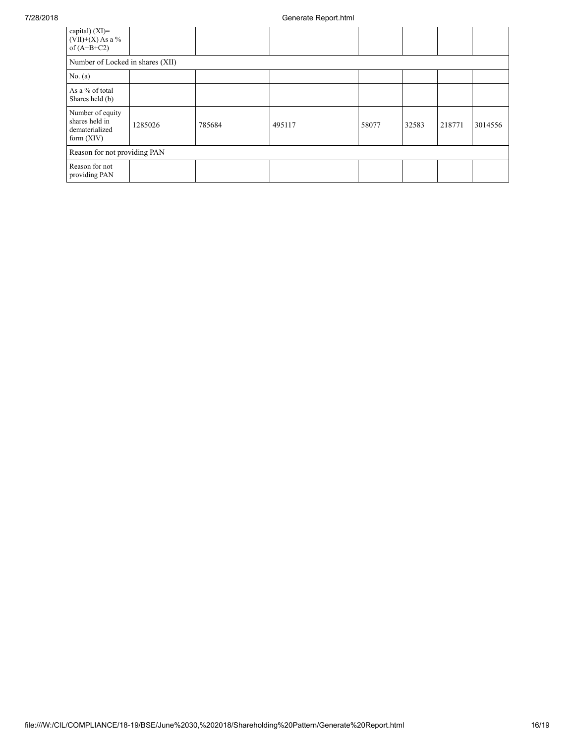| capital) $(XI)$ =<br>$(VII)+(X)$ As a %<br>of $(A+B+C2)$             |         |        |        |       |       |        |         |
|----------------------------------------------------------------------|---------|--------|--------|-------|-------|--------|---------|
| Number of Locked in shares (XII)                                     |         |        |        |       |       |        |         |
| No. $(a)$                                                            |         |        |        |       |       |        |         |
| As a % of total<br>Shares held (b)                                   |         |        |        |       |       |        |         |
| Number of equity<br>shares held in<br>dematerialized<br>form $(XIV)$ | 1285026 | 785684 | 495117 | 58077 | 32583 | 218771 | 3014556 |
| Reason for not providing PAN                                         |         |        |        |       |       |        |         |
| Reason for not<br>providing PAN                                      |         |        |        |       |       |        |         |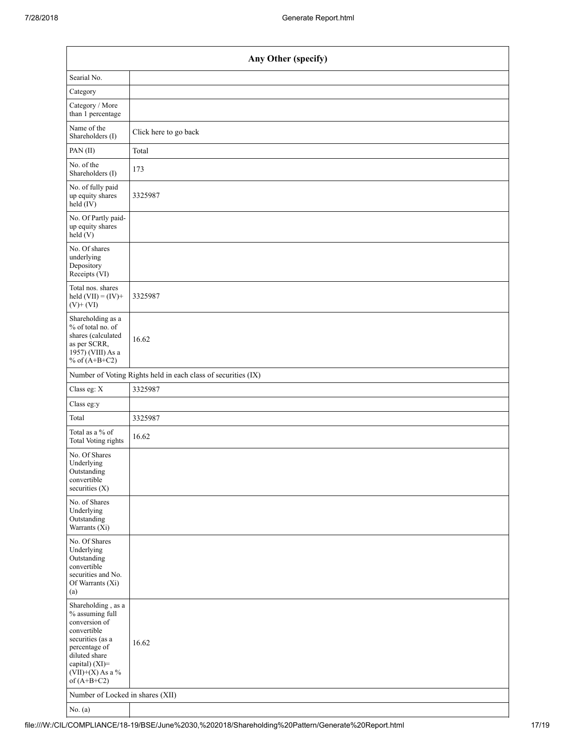| Any Other (specify)                                                                                                                                                                  |                                                               |  |  |  |  |
|--------------------------------------------------------------------------------------------------------------------------------------------------------------------------------------|---------------------------------------------------------------|--|--|--|--|
| Searial No.                                                                                                                                                                          |                                                               |  |  |  |  |
| Category                                                                                                                                                                             |                                                               |  |  |  |  |
| Category / More<br>than 1 percentage                                                                                                                                                 |                                                               |  |  |  |  |
| Name of the<br>Shareholders (I)                                                                                                                                                      | Click here to go back                                         |  |  |  |  |
| PAN(II)                                                                                                                                                                              | Total                                                         |  |  |  |  |
| No. of the<br>Shareholders (I)                                                                                                                                                       | 173                                                           |  |  |  |  |
| No. of fully paid<br>up equity shares<br>$\text{held} (IV)$                                                                                                                          | 3325987                                                       |  |  |  |  |
| No. Of Partly paid-<br>up equity shares<br>held(V)                                                                                                                                   |                                                               |  |  |  |  |
| No. Of shares<br>underlying<br>Depository<br>Receipts (VI)                                                                                                                           |                                                               |  |  |  |  |
| Total nos. shares<br>held $(VII) = (IV) +$<br>$(V)$ + $(VI)$                                                                                                                         | 3325987                                                       |  |  |  |  |
| Shareholding as a<br>% of total no. of<br>shares (calculated<br>as per SCRR,<br>1957) (VIII) As a<br>% of $(A+B+C2)$                                                                 | 16.62                                                         |  |  |  |  |
|                                                                                                                                                                                      | Number of Voting Rights held in each class of securities (IX) |  |  |  |  |
| Class eg: X                                                                                                                                                                          | 3325987                                                       |  |  |  |  |
| Class eg:y                                                                                                                                                                           |                                                               |  |  |  |  |
| Total                                                                                                                                                                                | 3325987                                                       |  |  |  |  |
| Total as a % of<br>Total Voting rights                                                                                                                                               | 16.62                                                         |  |  |  |  |
| No. Of Shares<br>Underlying<br>Outstanding<br>convertible<br>securities $(X)$                                                                                                        |                                                               |  |  |  |  |
| No. of Shares<br>Underlying<br>Outstanding<br>Warrants (Xi)                                                                                                                          |                                                               |  |  |  |  |
| No. Of Shares<br>Underlying<br>Outstanding<br>convertible<br>securities and No.<br>Of Warrants (Xi)<br>(a)                                                                           |                                                               |  |  |  |  |
| Shareholding, as a<br>% assuming full<br>conversion of<br>convertible<br>securities (as a<br>percentage of<br>diluted share<br>capital) (XI)=<br>$(VII)+(X)$ As a %<br>of $(A+B+C2)$ | 16.62                                                         |  |  |  |  |
| Number of Locked in shares (XII)                                                                                                                                                     |                                                               |  |  |  |  |
| No. (a)                                                                                                                                                                              |                                                               |  |  |  |  |